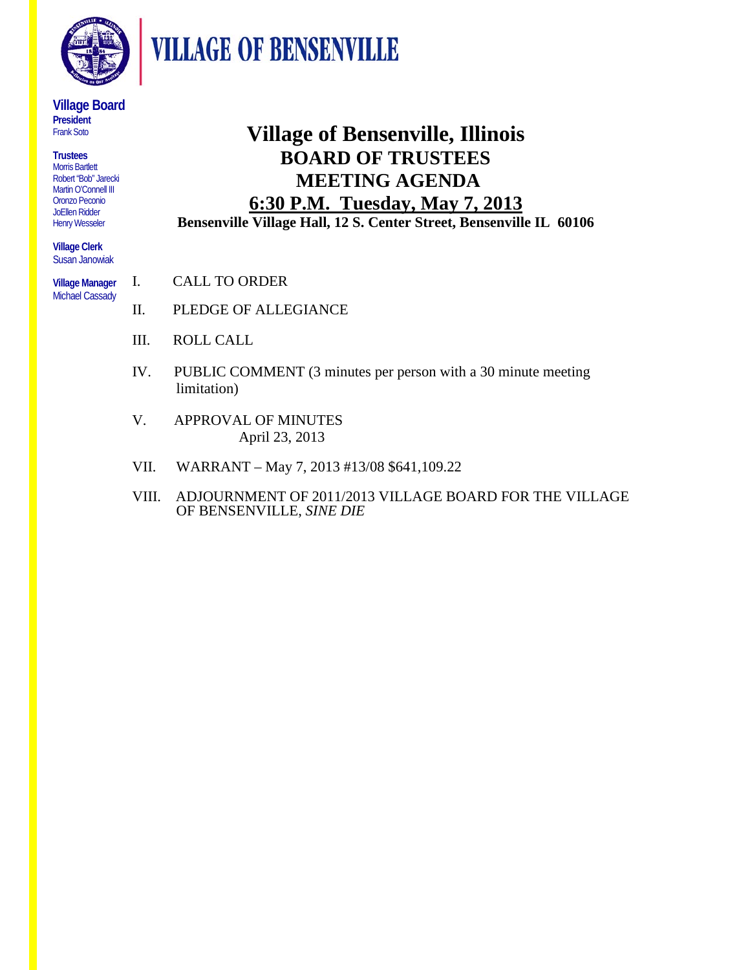

**VILLAGE OF BENSENVILLE** 

#### **Village Board President**  Frank Soto

**Trustees** Morris Bartlett Robert "Bob" Jarecki Martin O'Connell III Oronzo Peconio JoEllen Ridder Henry Wesseler

**Village Clerk** Susan Janowiak

**Village Manager**  Michael Cassady

**Village of Bensenville, Illinois BOARD OF TRUSTEES MEETING AGENDA 6:30 P.M. Tuesday, May 7, 2013**

**Bensenville Village Hall, 12 S. Center Street, Bensenville IL 60106** 

- I. CALL TO ORDER
- II. PLEDGE OF ALLEGIANCE
- III. ROLL CALL
- IV. PUBLIC COMMENT (3 minutes per person with a 30 minute meeting limitation)
- V. APPROVAL OF MINUTES April 23, 2013
- VII. WARRANT May 7, 2013 #13/08 \$641,109.22
- VIII. ADJOURNMENT OF 2011/2013 VILLAGE BOARD FOR THE VILLAGE OF BENSENVILLE, *SINE DIE*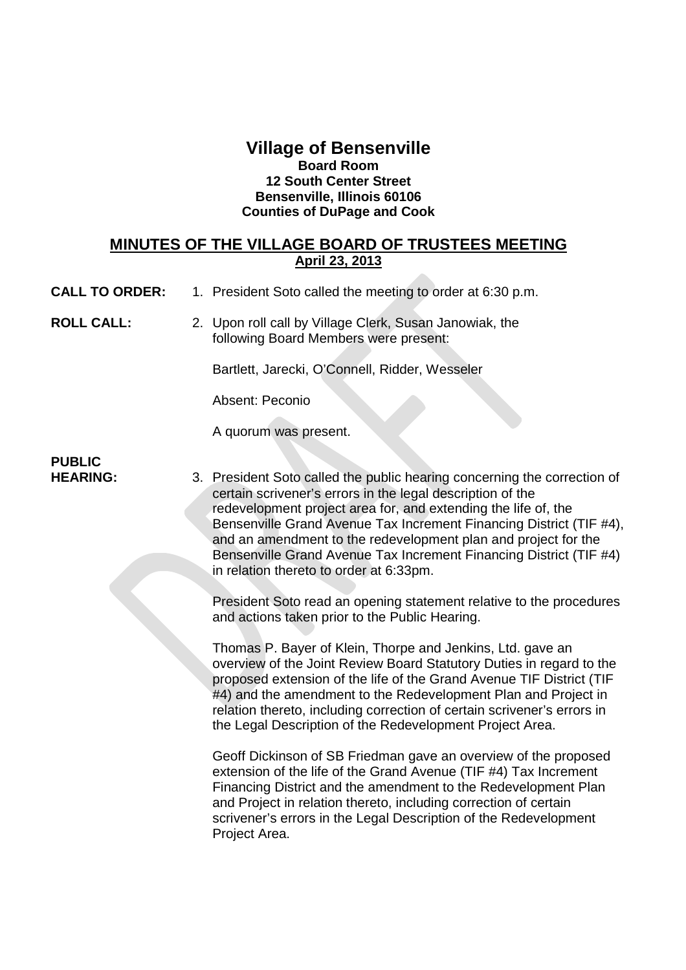### **Village of Bensenville Board Room 12 South Center Street Bensenville, Illinois 60106 Counties of DuPage and Cook**

#### **MINUTES OF THE VILLAGE BOARD OF TRUSTEES MEETING April 23, 2013**

**CALL TO ORDER:** 1. President Soto called the meeting to order at 6:30 p.m.

**ROLL CALL:** 2. Upon roll call by Village Clerk, Susan Janowiak, the following Board Members were present:

Bartlett, Jarecki, O'Connell, Ridder, Wesseler

Absent: Peconio

A quorum was present.

# **PUBLIC**

**HEARING:** 3. President Soto called the public hearing concerning the correction of certain scrivener's errors in the legal description of the redevelopment project area for, and extending the life of, the Bensenville Grand Avenue Tax Increment Financing District (TIF #4), and an amendment to the redevelopment plan and project for the Bensenville Grand Avenue Tax Increment Financing District (TIF #4) in relation thereto to order at 6:33pm.

> President Soto read an opening statement relative to the procedures and actions taken prior to the Public Hearing.

> Thomas P. Bayer of Klein, Thorpe and Jenkins, Ltd. gave an overview of the Joint Review Board Statutory Duties in regard to the proposed extension of the life of the Grand Avenue TIF District (TIF #4) and the amendment to the Redevelopment Plan and Project in relation thereto, including correction of certain scrivener's errors in the Legal Description of the Redevelopment Project Area.

Geoff Dickinson of SB Friedman gave an overview of the proposed extension of the life of the Grand Avenue (TIF #4) Tax Increment Financing District and the amendment to the Redevelopment Plan and Project in relation thereto, including correction of certain scrivener's errors in the Legal Description of the Redevelopment Project Area.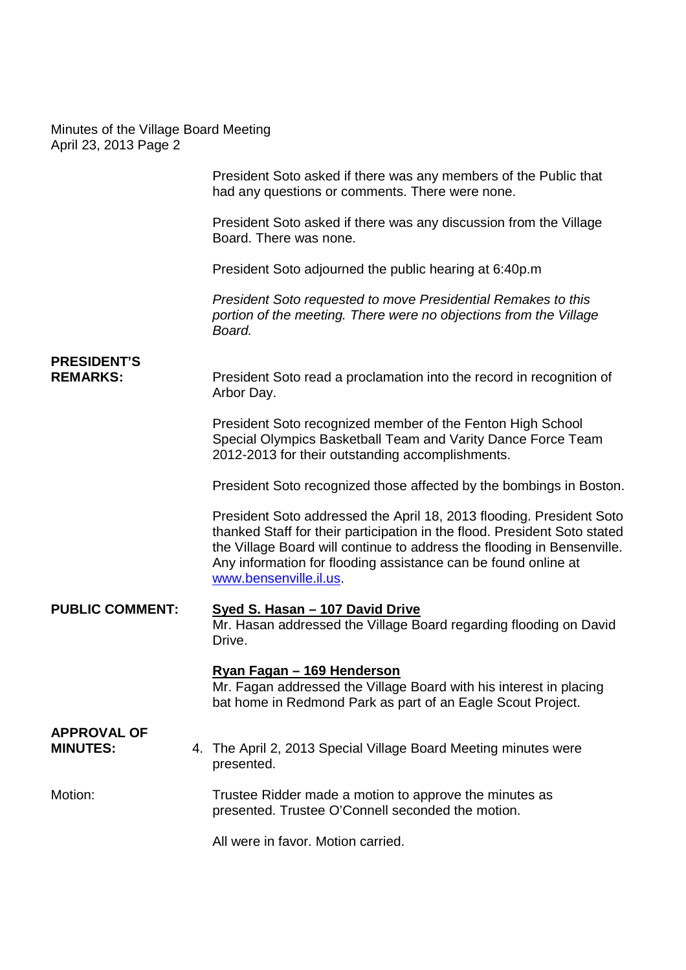President Soto asked if there was any members of the Public that had any questions or comments. There were none.

President Soto asked if there was any discussion from the Village Board. There was none.

President Soto adjourned the public hearing at 6:40p.m

*President Soto requested to move Presidential Remakes to this portion of the meeting. There were no objections from the Village Board.*

### **PRESIDENT'S**

**REMARKS:** President Soto read a proclamation into the record in recognition of Arbor Day.

> President Soto recognized member of the Fenton High School Special Olympics Basketball Team and Varity Dance Force Team 2012-2013 for their outstanding accomplishments.

President Soto recognized those affected by the bombings in Boston.

President Soto addressed the April 18, 2013 flooding. President Soto thanked Staff for their participation in the flood. President Soto stated the Village Board will continue to address the flooding in Bensenville. Any information for flooding assistance can be found online at www.bensenville.il.us.

#### **PUBLIC COMMENT: Syed S. Hasan – 107 David Drive**

Mr. Hasan addressed the Village Board regarding flooding on David Drive.

#### **Ryan Fagan – 169 Henderson**

Mr. Fagan addressed the Village Board with his interest in placing bat home in Redmond Park as part of an Eagle Scout Project.

## **APPROVAL OF**

**MINUTES:** 4. The April 2, 2013 Special Village Board Meeting minutes were presented.

#### Motion: Trustee Ridder made a motion to approve the minutes as presented. Trustee O'Connell seconded the motion.

All were in favor. Motion carried.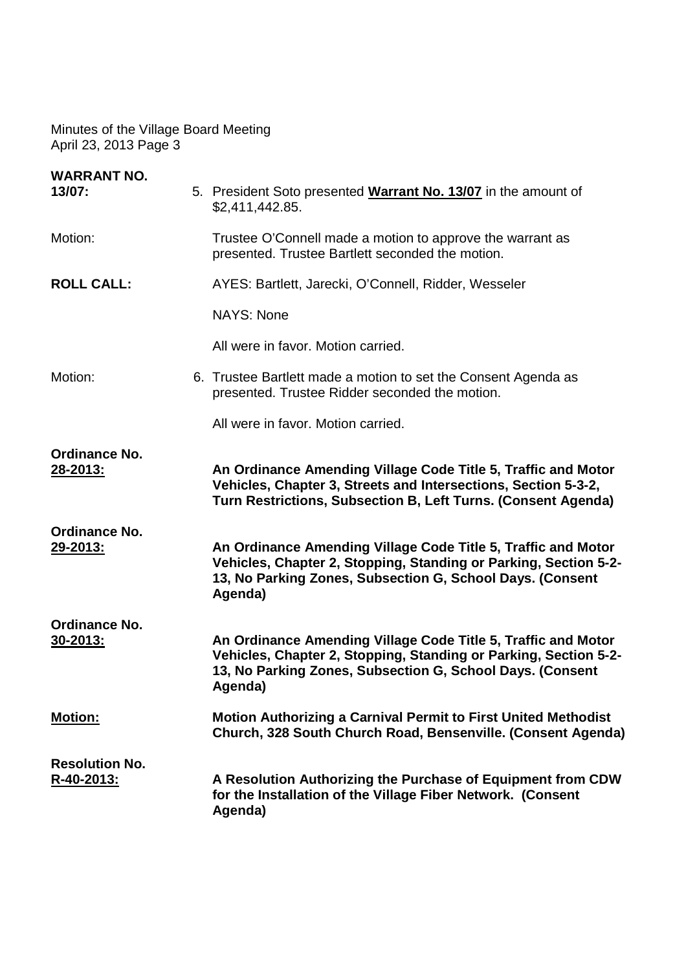| <b>WARRANT NO.</b><br>13/07:     | 5. President Soto presented Warrant No. 13/07 in the amount of<br>\$2,411,442.85.                                                                                                                         |
|----------------------------------|-----------------------------------------------------------------------------------------------------------------------------------------------------------------------------------------------------------|
| Motion:                          | Trustee O'Connell made a motion to approve the warrant as<br>presented. Trustee Bartlett seconded the motion.                                                                                             |
| <b>ROLL CALL:</b>                | AYES: Bartlett, Jarecki, O'Connell, Ridder, Wesseler                                                                                                                                                      |
|                                  | <b>NAYS: None</b>                                                                                                                                                                                         |
|                                  | All were in favor. Motion carried.                                                                                                                                                                        |
| Motion:                          | 6. Trustee Bartlett made a motion to set the Consent Agenda as<br>presented. Trustee Ridder seconded the motion.                                                                                          |
|                                  | All were in favor. Motion carried.                                                                                                                                                                        |
| Ordinance No.<br>28-2013:        | An Ordinance Amending Village Code Title 5, Traffic and Motor<br>Vehicles, Chapter 3, Streets and Intersections, Section 5-3-2,<br>Turn Restrictions, Subsection B, Left Turns. (Consent Agenda)          |
| Ordinance No.<br>29-2013:        | An Ordinance Amending Village Code Title 5, Traffic and Motor<br>Vehicles, Chapter 2, Stopping, Standing or Parking, Section 5-2-<br>13, No Parking Zones, Subsection G, School Days. (Consent<br>Agenda) |
| Ordinance No.<br><u>30-2013:</u> | An Ordinance Amending Village Code Title 5, Traffic and Motor<br>Vehicles, Chapter 2, Stopping, Standing or Parking, Section 5-2-<br>13, No Parking Zones, Subsection G, School Days. (Consent<br>Agenda) |
| <b>Motion:</b>                   | <b>Motion Authorizing a Carnival Permit to First United Methodist</b><br>Church, 328 South Church Road, Bensenville. (Consent Agenda)                                                                     |
| <b>Resolution No.</b>            |                                                                                                                                                                                                           |
| R-40-2013:                       | A Resolution Authorizing the Purchase of Equipment from CDW<br>for the Installation of the Village Fiber Network. (Consent<br>Agenda)                                                                     |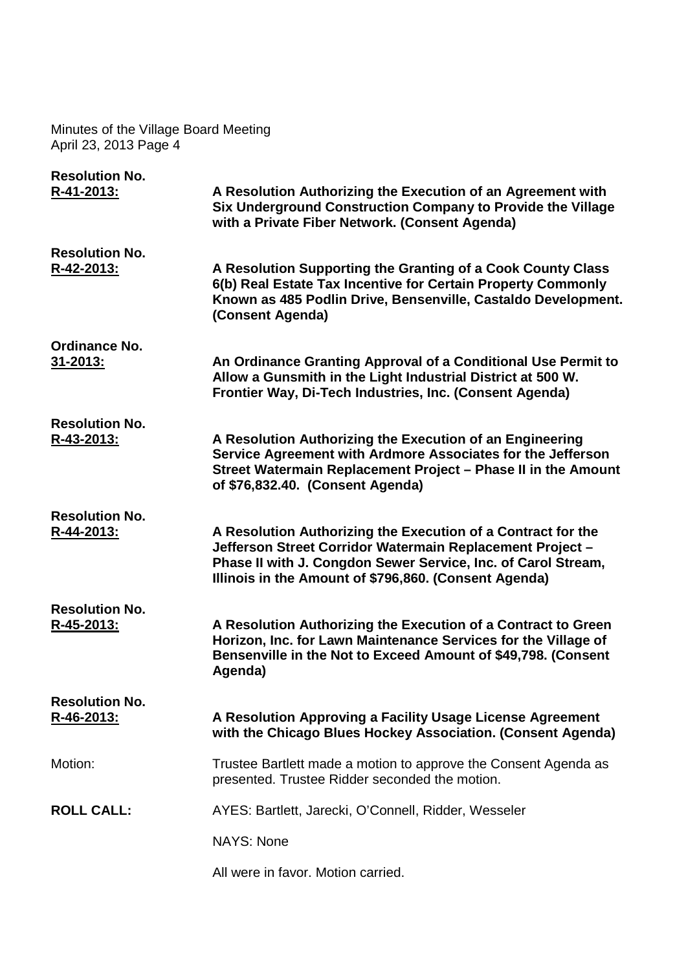| <b>Resolution No.</b>                   |                                                                                                                                                                                                                                                     |
|-----------------------------------------|-----------------------------------------------------------------------------------------------------------------------------------------------------------------------------------------------------------------------------------------------------|
| R-41-2013:                              | A Resolution Authorizing the Execution of an Agreement with<br>Six Underground Construction Company to Provide the Village<br>with a Private Fiber Network. (Consent Agenda)                                                                        |
| <b>Resolution No.</b>                   |                                                                                                                                                                                                                                                     |
| R-42-2013:                              | A Resolution Supporting the Granting of a Cook County Class<br>6(b) Real Estate Tax Incentive for Certain Property Commonly<br>Known as 485 Podlin Drive, Bensenville, Castaldo Development.<br>(Consent Agenda)                                    |
| <b>Ordinance No.</b><br><u>31-2013:</u> | An Ordinance Granting Approval of a Conditional Use Permit to<br>Allow a Gunsmith in the Light Industrial District at 500 W.<br>Frontier Way, Di-Tech Industries, Inc. (Consent Agenda)                                                             |
| <b>Resolution No.</b><br>R-43-2013:     | A Resolution Authorizing the Execution of an Engineering<br>Service Agreement with Ardmore Associates for the Jefferson<br>Street Watermain Replacement Project - Phase II in the Amount<br>of \$76,832.40. (Consent Agenda)                        |
| <b>Resolution No.</b>                   |                                                                                                                                                                                                                                                     |
| R-44-2013:                              | A Resolution Authorizing the Execution of a Contract for the<br>Jefferson Street Corridor Watermain Replacement Project -<br>Phase II with J. Congdon Sewer Service, Inc. of Carol Stream,<br>Illinois in the Amount of \$796,860. (Consent Agenda) |
| <b>Resolution No.</b>                   |                                                                                                                                                                                                                                                     |
| R-45-2013:                              | A Resolution Authorizing the Execution of a Contract to Green<br>Horizon, Inc. for Lawn Maintenance Services for the Village of<br>Bensenville in the Not to Exceed Amount of \$49,798. (Consent<br>Agenda)                                         |
| <b>Resolution No.</b>                   |                                                                                                                                                                                                                                                     |
| R-46-2013:                              | A Resolution Approving a Facility Usage License Agreement<br>with the Chicago Blues Hockey Association. (Consent Agenda)                                                                                                                            |
| Motion:                                 | Trustee Bartlett made a motion to approve the Consent Agenda as<br>presented. Trustee Ridder seconded the motion.                                                                                                                                   |
| <b>ROLL CALL:</b>                       | AYES: Bartlett, Jarecki, O'Connell, Ridder, Wesseler                                                                                                                                                                                                |
|                                         | <b>NAYS: None</b>                                                                                                                                                                                                                                   |
|                                         |                                                                                                                                                                                                                                                     |
|                                         | All were in favor. Motion carried.                                                                                                                                                                                                                  |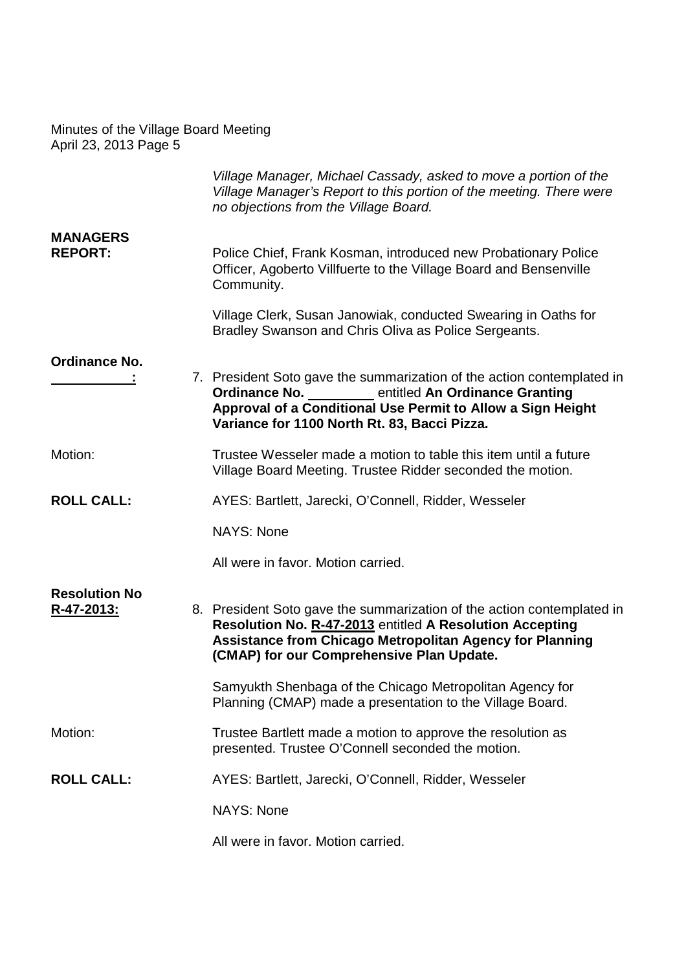|                                    | Village Manager, Michael Cassady, asked to move a portion of the<br>Village Manager's Report to this portion of the meeting. There were<br>no objections from the Village Board.                                                                   |
|------------------------------------|----------------------------------------------------------------------------------------------------------------------------------------------------------------------------------------------------------------------------------------------------|
| <b>MANAGERS</b><br><b>REPORT:</b>  | Police Chief, Frank Kosman, introduced new Probationary Police<br>Officer, Agoberto Villfuerte to the Village Board and Bensenville<br>Community.                                                                                                  |
|                                    | Village Clerk, Susan Janowiak, conducted Swearing in Oaths for<br>Bradley Swanson and Chris Oliva as Police Sergeants.                                                                                                                             |
| <b>Ordinance No.</b>               | 7. President Soto gave the summarization of the action contemplated in<br><b>Ordinance No.</b> entitled An Ordinance Granting<br>Approval of a Conditional Use Permit to Allow a Sign Height<br>Variance for 1100 North Rt. 83, Bacci Pizza.       |
| Motion:                            | Trustee Wesseler made a motion to table this item until a future<br>Village Board Meeting. Trustee Ridder seconded the motion.                                                                                                                     |
| <b>ROLL CALL:</b>                  | AYES: Bartlett, Jarecki, O'Connell, Ridder, Wesseler                                                                                                                                                                                               |
|                                    | <b>NAYS: None</b>                                                                                                                                                                                                                                  |
|                                    | All were in favor. Motion carried.                                                                                                                                                                                                                 |
| <b>Resolution No</b><br>R-47-2013: | 8. President Soto gave the summarization of the action contemplated in<br>Resolution No. R-47-2013 entitled A Resolution Accepting<br><b>Assistance from Chicago Metropolitan Agency for Planning</b><br>(CMAP) for our Comprehensive Plan Update. |
|                                    | Samyukth Shenbaga of the Chicago Metropolitan Agency for<br>Planning (CMAP) made a presentation to the Village Board.                                                                                                                              |
| Motion:                            | Trustee Bartlett made a motion to approve the resolution as<br>presented. Trustee O'Connell seconded the motion.                                                                                                                                   |
| <b>ROLL CALL:</b>                  | AYES: Bartlett, Jarecki, O'Connell, Ridder, Wesseler                                                                                                                                                                                               |
|                                    | <b>NAYS: None</b>                                                                                                                                                                                                                                  |
|                                    | All were in favor. Motion carried.                                                                                                                                                                                                                 |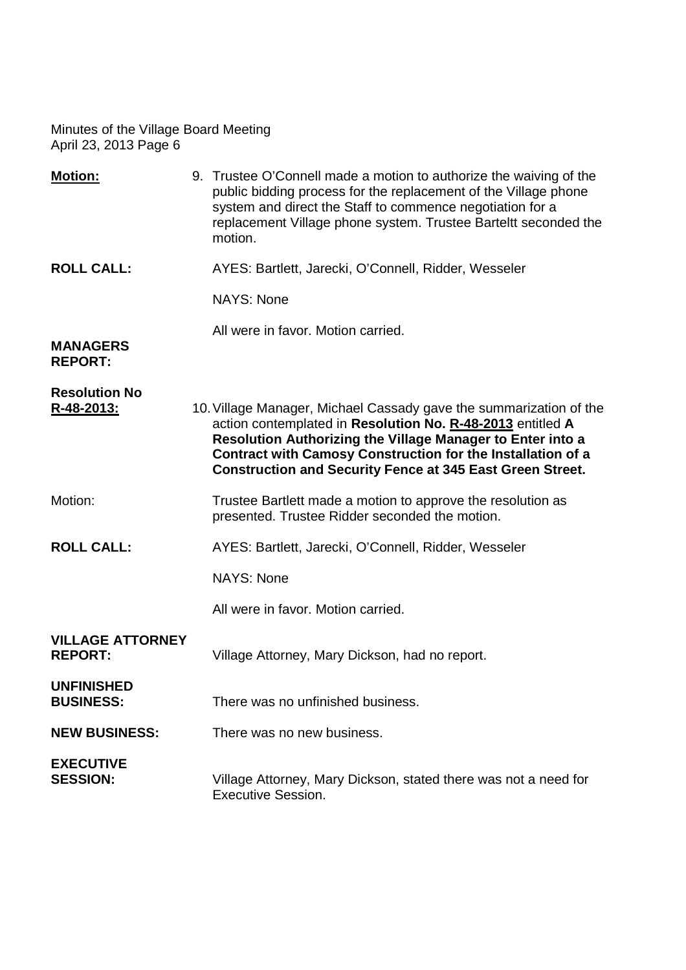| <b>Motion:</b>                            | 9. Trustee O'Connell made a motion to authorize the waiving of the<br>public bidding process for the replacement of the Village phone<br>system and direct the Staff to commence negotiation for a<br>replacement Village phone system. Trustee Barteltt seconded the<br>motion.                                                  |
|-------------------------------------------|-----------------------------------------------------------------------------------------------------------------------------------------------------------------------------------------------------------------------------------------------------------------------------------------------------------------------------------|
| <b>ROLL CALL:</b>                         | AYES: Bartlett, Jarecki, O'Connell, Ridder, Wesseler                                                                                                                                                                                                                                                                              |
|                                           | <b>NAYS: None</b>                                                                                                                                                                                                                                                                                                                 |
| <b>MANAGERS</b><br><b>REPORT:</b>         | All were in favor. Motion carried.                                                                                                                                                                                                                                                                                                |
| <b>Resolution No</b><br>R-48-2013:        | 10. Village Manager, Michael Cassady gave the summarization of the<br>action contemplated in Resolution No. R-48-2013 entitled A<br>Resolution Authorizing the Village Manager to Enter into a<br>Contract with Camosy Construction for the Installation of a<br><b>Construction and Security Fence at 345 East Green Street.</b> |
| Motion:                                   | Trustee Bartlett made a motion to approve the resolution as<br>presented. Trustee Ridder seconded the motion.                                                                                                                                                                                                                     |
| <b>ROLL CALL:</b>                         | AYES: Bartlett, Jarecki, O'Connell, Ridder, Wesseler                                                                                                                                                                                                                                                                              |
|                                           | <b>NAYS: None</b>                                                                                                                                                                                                                                                                                                                 |
|                                           | All were in favor. Motion carried.                                                                                                                                                                                                                                                                                                |
| <b>VILLAGE ATTORNEY</b><br><b>REPORT:</b> | Village Attorney, Mary Dickson, had no report.                                                                                                                                                                                                                                                                                    |
| <b>UNFINISHED</b><br><b>BUSINESS:</b>     | There was no unfinished business.                                                                                                                                                                                                                                                                                                 |
| <b>NEW BUSINESS:</b>                      | There was no new business.                                                                                                                                                                                                                                                                                                        |
| <b>EXECUTIVE</b><br><b>SESSION:</b>       | Village Attorney, Mary Dickson, stated there was not a need for<br><b>Executive Session.</b>                                                                                                                                                                                                                                      |